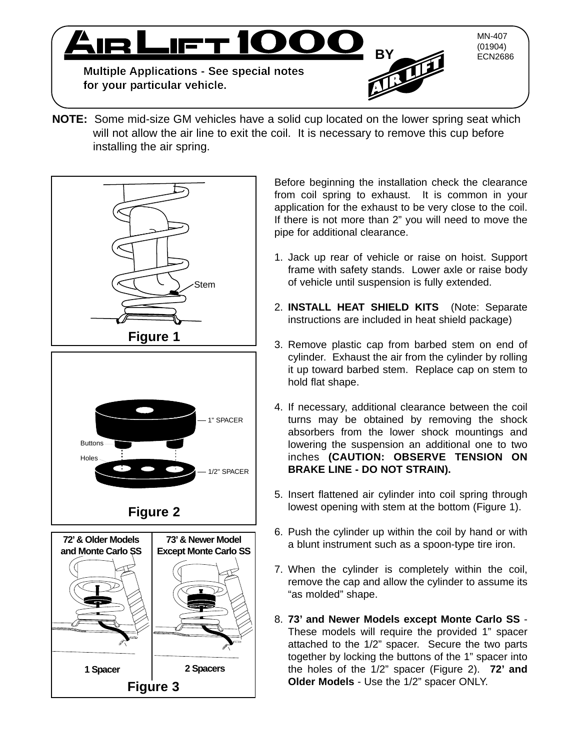

**NOTE:** Some mid-size GM vehicles have a solid cup located on the lower spring seat which will not allow the air line to exit the coil. It is necessary to remove this cup before installing the air spring.



Before beginning the installation check the clearance from coil spring to exhaust. It is common in your application for the exhaust to be very close to the coil. If there is not more than 2" you will need to move the pipe for additional clearance.

- 1. Jack up rear of vehicle or raise on hoist. Support frame with safety stands. Lower axle or raise body of vehicle until suspension is fully extended.
- 2. **INSTALL HEAT SHIELD KITS** (Note: Separate instructions are included in heat shield package)
- 3. Remove plastic cap from barbed stem on end of cylinder. Exhaust the air from the cylinder by rolling it up toward barbed stem. Replace cap on stem to hold flat shape.
- 4. If necessary, additional clearance between the coil turns may be obtained by removing the shock absorbers from the lower shock mountings and lowering the suspension an additional one to two inches **(CAUTION: OBSERVE TENSION ON BRAKE LINE - DO NOT STRAIN).**
- 5. Insert flattened air cylinder into coil spring through lowest opening with stem at the bottom (Figure 1).
- 6. Push the cylinder up within the coil by hand or with a blunt instrument such as a spoon-type tire iron.
- 7. When the cylinder is completely within the coil, remove the cap and allow the cylinder to assume its "as molded" shape.
- 8. **73' and Newer Models except Monte Carlo SS**  These models will require the provided 1" spacer attached to the 1/2" spacer. Secure the two parts together by locking the buttons of the 1" spacer into the holes of the 1/2" spacer (Figure 2). **72' and Older Models** - Use the 1/2" spacer ONLY.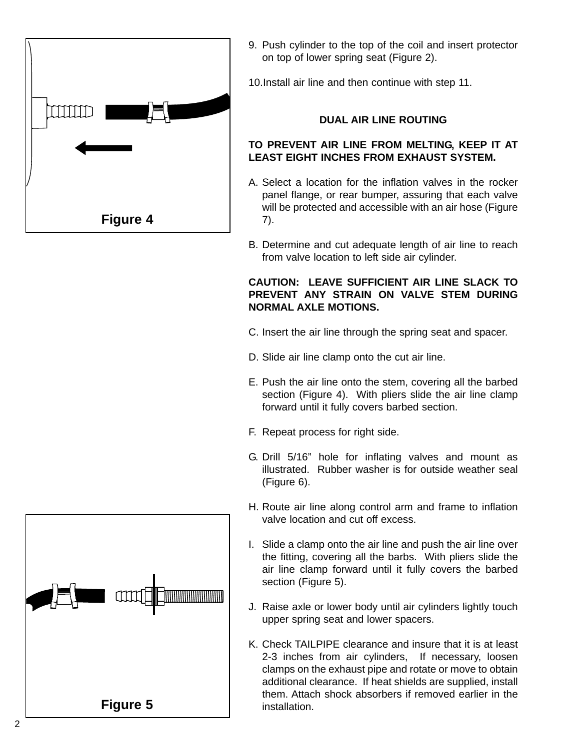

9. Push cylinder to the top of the coil and insert protector on top of lower spring seat (Figure 2).

10.Install air line and then continue with step 11.

#### **DUAL AIR LINE ROUTING**

#### **TO PREVENT AIR LINE FROM MELTING, KEEP IT AT LEAST EIGHT INCHES FROM EXHAUST SYSTEM.**

- A. Select a location for the inflation valves in the rocker panel flange, or rear bumper, assuring that each valve will be protected and accessible with an air hose (Figure 7).
- B. Determine and cut adequate length of air line to reach from valve location to left side air cylinder.

#### **CAUTION: LEAVE SUFFICIENT AIR LINE SLACK TO PREVENT ANY STRAIN ON VALVE STEM DURING NORMAL AXLE MOTIONS.**

- C. Insert the air line through the spring seat and spacer.
- D. Slide air line clamp onto the cut air line.
- E. Push the air line onto the stem, covering all the barbed section (Figure 4). With pliers slide the air line clamp forward until it fully covers barbed section.
- F. Repeat process for right side.
- G. Drill 5/16" hole for inflating valves and mount as illustrated. Rubber washer is for outside weather seal (Figure 6).
- H. Route air line along control arm and frame to inflation valve location and cut off excess.
- I. Slide a clamp onto the air line and push the air line over the fitting, covering all the barbs. With pliers slide the air line clamp forward until it fully covers the barbed section (Figure 5).
- J. Raise axle or lower body until air cylinders lightly touch upper spring seat and lower spacers.
- K. Check TAILPIPE clearance and insure that it is at least 2-3 inches from air cylinders, If necessary, loosen clamps on the exhaust pipe and rotate or move to obtain additional clearance. If heat shields are supplied, install them. Attach shock absorbers if removed earlier in the installation.

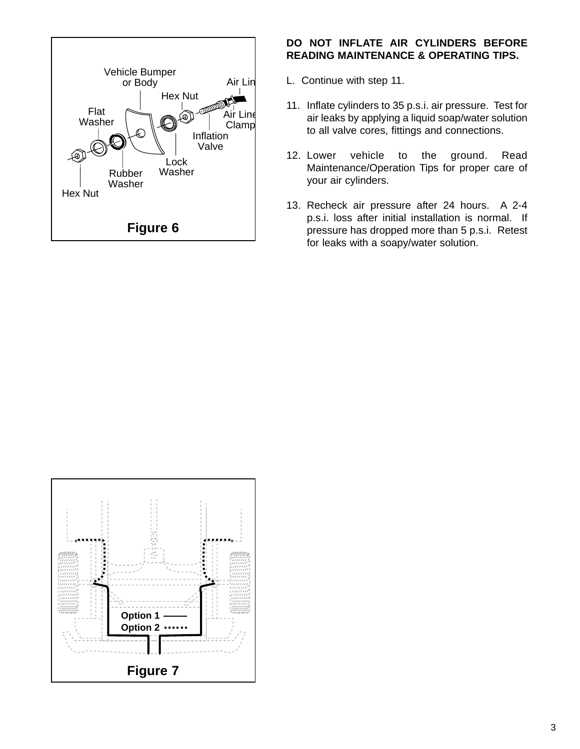

#### **DO NOT INFLATE AIR CYLINDERS BEFORE READING MAINTENANCE & OPERATING TIPS.**

- L. Continue with step 11.
- 11. Inflate cylinders to 35 p.s.i. air pressure. Test for air leaks by applying a liquid soap/water solution to all valve cores, fittings and connections.
- 12. Lower vehicle to the ground. Read Maintenance/Operation Tips for proper care of your air cylinders.
- 13. Recheck air pressure after 24 hours. A 2-4 p.s.i. loss after initial installation is normal. If pressure has dropped more than 5 p.s.i. Retest for leaks with a soapy/water solution.

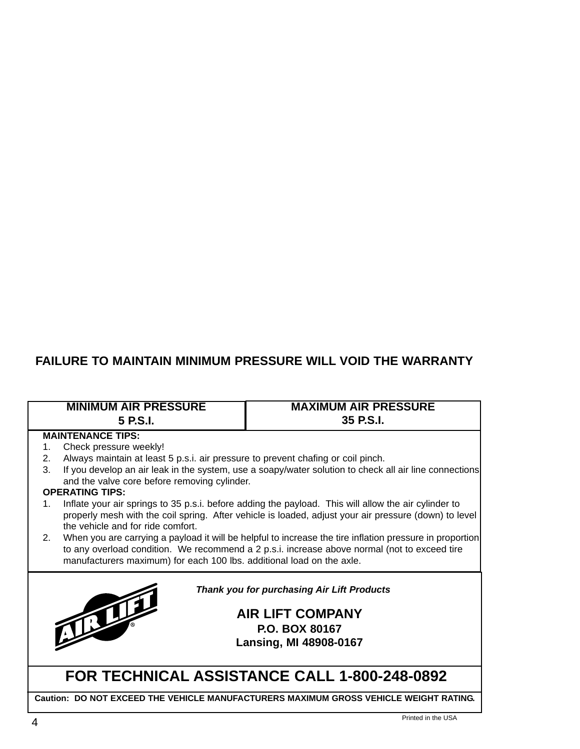## **FAILURE TO MAINTAIN MINIMUM PRESSURE WILL VOID THE WARRANTY**

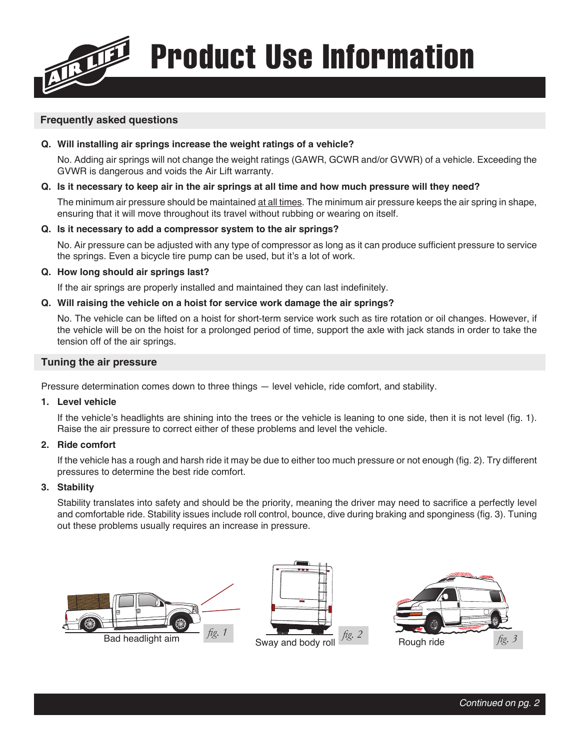Product Use Information

### **Frequently asked questions**

#### **Q. Will installing air springs increase the weight ratings of a vehicle?**

No. Adding air springs will not change the weight ratings (GAWR, GCWR and/or GVWR) of a vehicle. Exceeding the GVWR is dangerous and voids the Air Lift warranty.

#### **Q. Is it necessary to keep air in the air springs at all time and how much pressure will they need?**

The minimum air pressure should be maintained at all times. The minimum air pressure keeps the air spring in shape, ensuring that it will move throughout its travel without rubbing or wearing on itself.

#### **Q. Is it necessary to add a compressor system to the air springs?**

No. Air pressure can be adjusted with any type of compressor as long as it can produce sufficient pressure to service the springs. Even a bicycle tire pump can be used, but it's a lot of work.

#### **Q. How long should air springs last?**

If the air springs are properly installed and maintained they can last indefinitely.

#### **Q. Will raising the vehicle on a hoist for service work damage the air springs?**

No. The vehicle can be lifted on a hoist for short-term service work such as tire rotation or oil changes. However, if the vehicle will be on the hoist for a prolonged period of time, support the axle with jack stands in order to take the tension off of the air springs.

#### **Tuning the air pressure**

Pressure determination comes down to three things — level vehicle, ride comfort, and stability.

#### **1. Level vehicle**

If the vehicle's headlights are shining into the trees or the vehicle is leaning to one side, then it is not level (fig. 1). Raise the air pressure to correct either of these problems and level the vehicle.

#### **2. Ride comfort**

If the vehicle has a rough and harsh ride it may be due to either too much pressure or not enough (fig. 2). Try different pressures to determine the best ride comfort.

#### **3. Stability**

Stability translates into safety and should be the priority, meaning the driver may need to sacrifice a perfectly level and comfortable ride. Stability issues include roll control, bounce, dive during braking and sponginess (fig. 3). Tuning out these problems usually requires an increase in pressure.